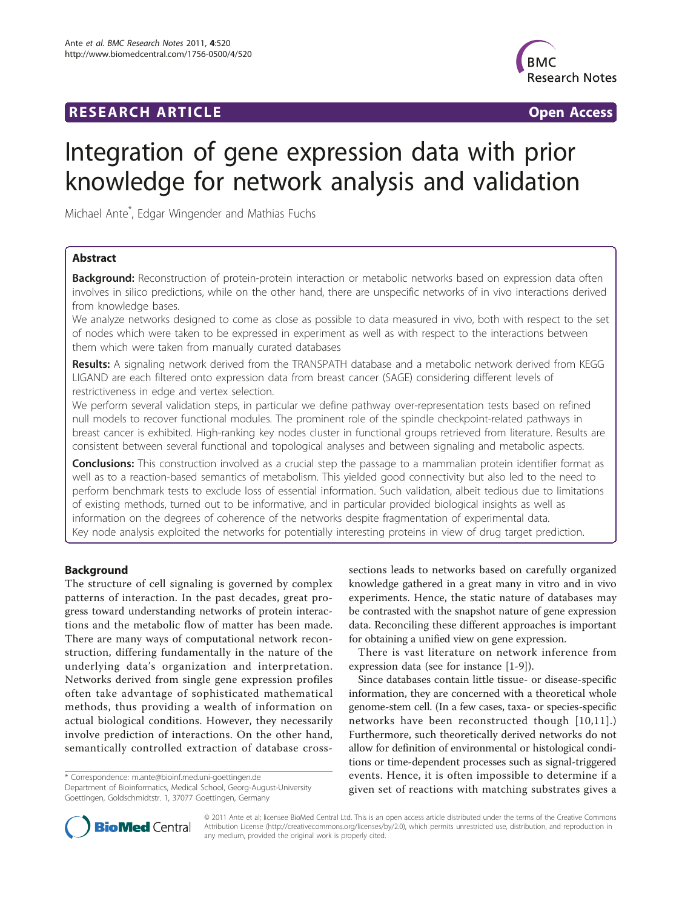# **RESEARCH ARTICLE EXECUTE: CONSIDERING ACCESS**



# Integration of gene expression data with prior knowledge for network analysis and validation

Michael Ante\* , Edgar Wingender and Mathias Fuchs

# Abstract

Background: Reconstruction of protein-protein interaction or metabolic networks based on expression data often involves in silico predictions, while on the other hand, there are unspecific networks of in vivo interactions derived from knowledge bases.

We analyze networks designed to come as close as possible to data measured in vivo, both with respect to the set of nodes which were taken to be expressed in experiment as well as with respect to the interactions between them which were taken from manually curated databases

Results: A signaling network derived from the TRANSPATH database and a metabolic network derived from KEGG LIGAND are each filtered onto expression data from breast cancer (SAGE) considering different levels of restrictiveness in edge and vertex selection.

We perform several validation steps, in particular we define pathway over-representation tests based on refined null models to recover functional modules. The prominent role of the spindle checkpoint-related pathways in breast cancer is exhibited. High-ranking key nodes cluster in functional groups retrieved from literature. Results are consistent between several functional and topological analyses and between signaling and metabolic aspects.

**Conclusions:** This construction involved as a crucial step the passage to a mammalian protein identifier format as well as to a reaction-based semantics of metabolism. This yielded good connectivity but also led to the need to perform benchmark tests to exclude loss of essential information. Such validation, albeit tedious due to limitations of existing methods, turned out to be informative, and in particular provided biological insights as well as information on the degrees of coherence of the networks despite fragmentation of experimental data. Key node analysis exploited the networks for potentially interesting proteins in view of drug target prediction.

# Background

The structure of cell signaling is governed by complex patterns of interaction. In the past decades, great progress toward understanding networks of protein interactions and the metabolic flow of matter has been made. There are many ways of computational network reconstruction, differing fundamentally in the nature of the underlying data's organization and interpretation. Networks derived from single gene expression profiles often take advantage of sophisticated mathematical methods, thus providing a wealth of information on actual biological conditions. However, they necessarily involve prediction of interactions. On the other hand, semantically controlled extraction of database cross-

\* Correspondence: [m.ante@bioinf.med.uni-goettingen.de](mailto:m.ante@bioinf.med.uni-goettingen.de)

Department of Bioinformatics, Medical School, Georg-August-University Goettingen, Goldschmidtstr. 1, 37077 Goettingen, Germany

sections leads to networks based on carefully organized knowledge gathered in a great many in vitro and in vivo experiments. Hence, the static nature of databases may be contrasted with the snapshot nature of gene expression data. Reconciling these different approaches is important for obtaining a unified view on gene expression.

There is vast literature on network inference from expression data (see for instance [[1-9](#page-10-0)]).

Since databases contain little tissue- or disease-specific information, they are concerned with a theoretical whole genome-stem cell. (In a few cases, taxa- or species-specific networks have been reconstructed though [[10](#page-10-0),[11](#page-10-0)].) Furthermore, such theoretically derived networks do not allow for definition of environmental or histological conditions or time-dependent processes such as signal-triggered events. Hence, it is often impossible to determine if a given set of reactions with matching substrates gives a



© 2011 Ante et al; licensee BioMed Central Ltd. This is an open access article distributed under the terms of the Creative Commons Attribution License [\(http://creativecommons.org/licenses/by/2.0](http://creativecommons.org/licenses/by/2.0)), which permits unrestricted use, distribution, and reproduction in any medium, provided the original work is properly cited.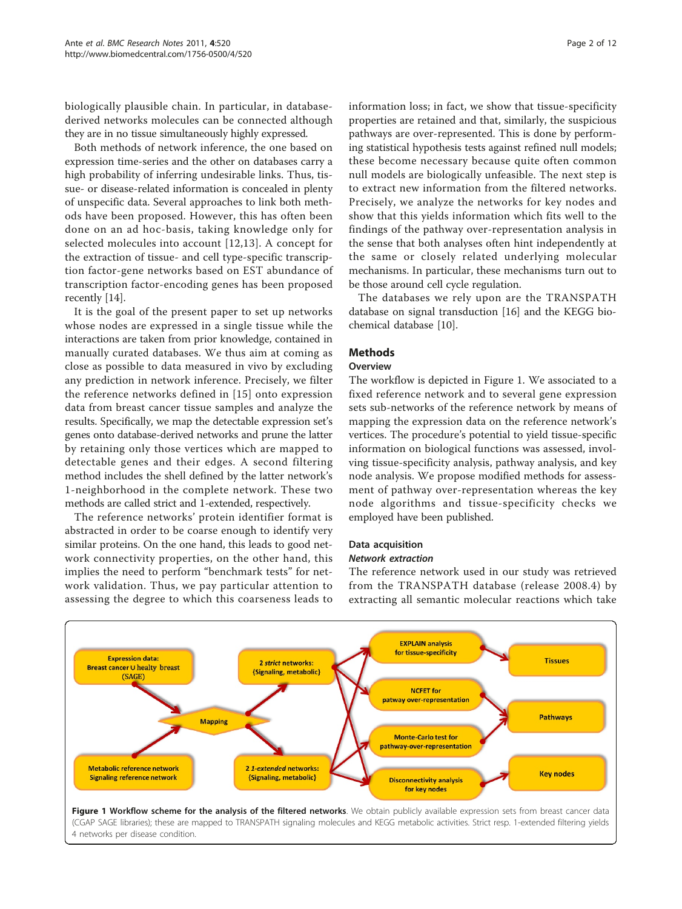biologically plausible chain. In particular, in databasederived networks molecules can be connected although they are in no tissue simultaneously highly expressed.

Both methods of network inference, the one based on expression time-series and the other on databases carry a high probability of inferring undesirable links. Thus, tissue- or disease-related information is concealed in plenty of unspecific data. Several approaches to link both methods have been proposed. However, this has often been done on an ad hoc-basis, taking knowledge only for selected molecules into account [[12](#page-10-0),[13\]](#page-10-0). A concept for the extraction of tissue- and cell type-specific transcription factor-gene networks based on EST abundance of transcription factor-encoding genes has been proposed recently [[14\]](#page-10-0).

It is the goal of the present paper to set up networks whose nodes are expressed in a single tissue while the interactions are taken from prior knowledge, contained in manually curated databases. We thus aim at coming as close as possible to data measured in vivo by excluding any prediction in network inference. Precisely, we filter the reference networks defined in [[15\]](#page-10-0) onto expression data from breast cancer tissue samples and analyze the results. Specifically, we map the detectable expression set's genes onto database-derived networks and prune the latter by retaining only those vertices which are mapped to detectable genes and their edges. A second filtering method includes the shell defined by the latter network's 1-neighborhood in the complete network. These two methods are called strict and 1-extended, respectively.

The reference networks' protein identifier format is abstracted in order to be coarse enough to identify very similar proteins. On the one hand, this leads to good network connectivity properties, on the other hand, this implies the need to perform "benchmark tests" for network validation. Thus, we pay particular attention to assessing the degree to which this coarseness leads to Page 2 of 12

information loss; in fact, we show that tissue-specificity properties are retained and that, similarly, the suspicious pathways are over-represented. This is done by performing statistical hypothesis tests against refined null models; these become necessary because quite often common null models are biologically unfeasible. The next step is to extract new information from the filtered networks. Precisely, we analyze the networks for key nodes and show that this yields information which fits well to the findings of the pathway over-representation analysis in the sense that both analyses often hint independently at the same or closely related underlying molecular mechanisms. In particular, these mechanisms turn out to be those around cell cycle regulation.

The databases we rely upon are the TRANSPATH database on signal transduction [[16](#page-10-0)] and the KEGG biochemical database [\[10\]](#page-10-0).

### **Methods**

#### **Overview**

The workflow is depicted in Figure 1. We associated to a fixed reference network and to several gene expression sets sub-networks of the reference network by means of mapping the expression data on the reference network's vertices. The procedure's potential to yield tissue-specific information on biological functions was assessed, involving tissue-specificity analysis, pathway analysis, and key node analysis. We propose modified methods for assessment of pathway over-representation whereas the key node algorithms and tissue-specificity checks we employed have been published.

#### Data acquisition Network extraction

The reference network used in our study was retrieved from the TRANSPATH database (release 2008.4) by extracting all semantic molecular reactions which take



4 networks per disease condition.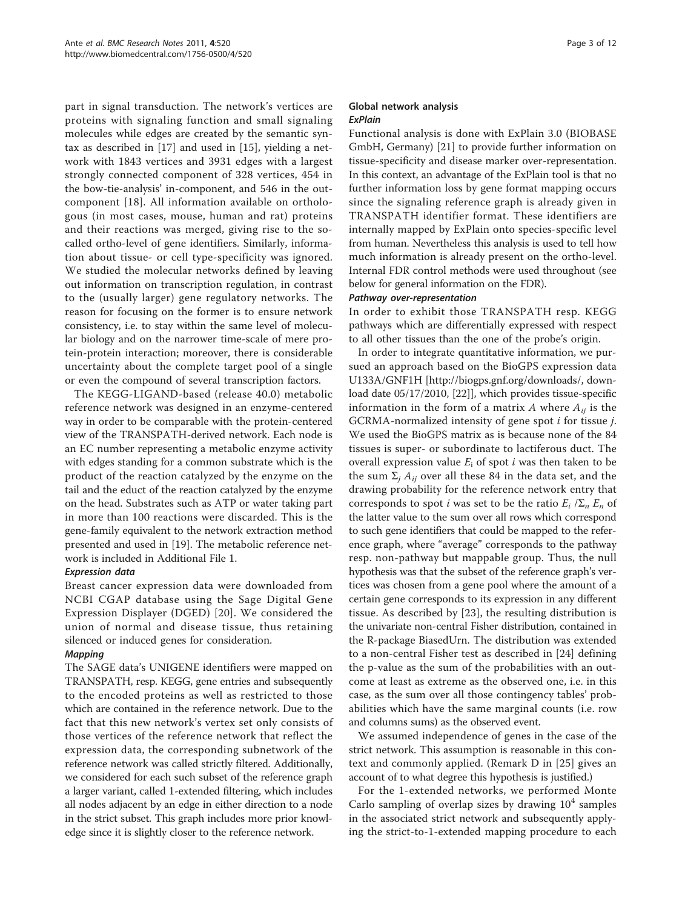part in signal transduction. The network's vertices are proteins with signaling function and small signaling molecules while edges are created by the semantic syntax as described in [[17\]](#page-10-0) and used in [\[15](#page-10-0)], yielding a network with 1843 vertices and 3931 edges with a largest strongly connected component of 328 vertices, 454 in the bow-tie-analysis' in-component, and 546 in the outcomponent [[18\]](#page-10-0). All information available on orthologous (in most cases, mouse, human and rat) proteins and their reactions was merged, giving rise to the socalled ortho-level of gene identifiers. Similarly, information about tissue- or cell type-specificity was ignored. We studied the molecular networks defined by leaving out information on transcription regulation, in contrast to the (usually larger) gene regulatory networks. The reason for focusing on the former is to ensure network consistency, i.e. to stay within the same level of molecular biology and on the narrower time-scale of mere protein-protein interaction; moreover, there is considerable uncertainty about the complete target pool of a single or even the compound of several transcription factors.

The KEGG-LIGAND-based (release 40.0) metabolic reference network was designed in an enzyme-centered way in order to be comparable with the protein-centered view of the TRANSPATH-derived network. Each node is an EC number representing a metabolic enzyme activity with edges standing for a common substrate which is the product of the reaction catalyzed by the enzyme on the tail and the educt of the reaction catalyzed by the enzyme on the head. Substrates such as ATP or water taking part in more than 100 reactions were discarded. This is the gene-family equivalent to the network extraction method presented and used in [[19\]](#page-10-0). The metabolic reference network is included in Additional File [1](#page-10-0).

#### Expression data

Breast cancer expression data were downloaded from NCBI CGAP database using the Sage Digital Gene Expression Displayer (DGED) [[20\]](#page-10-0). We considered the union of normal and disease tissue, thus retaining silenced or induced genes for consideration.

#### Mapping

The SAGE data's UNIGENE identifiers were mapped on TRANSPATH, resp. KEGG, gene entries and subsequently to the encoded proteins as well as restricted to those which are contained in the reference network. Due to the fact that this new network's vertex set only consists of those vertices of the reference network that reflect the expression data, the corresponding subnetwork of the reference network was called strictly filtered. Additionally, we considered for each such subset of the reference graph a larger variant, called 1-extended filtering, which includes all nodes adjacent by an edge in either direction to a node in the strict subset. This graph includes more prior knowledge since it is slightly closer to the reference network.

#### Global network analysis ExPlain

Functional analysis is done with ExPlain 3.0 (BIOBASE GmbH, Germany) [[21\]](#page-10-0) to provide further information on tissue-specificity and disease marker over-representation. In this context, an advantage of the ExPlain tool is that no further information loss by gene format mapping occurs since the signaling reference graph is already given in TRANSPATH identifier format. These identifiers are internally mapped by ExPlain onto species-specific level from human. Nevertheless this analysis is used to tell how much information is already present on the ortho-level. Internal FDR control methods were used throughout (see below for general information on the FDR).

#### Pathway over-representation

In order to exhibit those TRANSPATH resp. KEGG pathways which are differentially expressed with respect to all other tissues than the one of the probe's origin.

In order to integrate quantitative information, we pursued an approach based on the BioGPS expression data U133A/GNF1H [[http://biogps.gnf.org/downloads/,](http://biogps.gnf.org/downloads/) download date 05/17/2010, [\[22\]](#page-10-0)], which provides tissue-specific information in the form of a matrix A where  $A_{ii}$  is the GCRMA-normalized intensity of gene spot i for tissue j. We used the BioGPS matrix as is because none of the 84 tissues is super- or subordinate to lactiferous duct. The overall expression value  $E_i$  of spot *i* was then taken to be the sum  $\Sigma_j A_{ij}$  over all these 84 in the data set, and the drawing probability for the reference network entry that corresponds to spot *i* was set to be the ratio  $E_i/\Sigma_n E_n$  of the latter value to the sum over all rows which correspond to such gene identifiers that could be mapped to the reference graph, where "average" corresponds to the pathway resp. non-pathway but mappable group. Thus, the null hypothesis was that the subset of the reference graph's vertices was chosen from a gene pool where the amount of a certain gene corresponds to its expression in any different tissue. As described by [[23](#page-10-0)], the resulting distribution is the univariate non-central Fisher distribution, contained in the R-package BiasedUrn. The distribution was extended to a non-central Fisher test as described in [[24\]](#page-10-0) defining the p-value as the sum of the probabilities with an outcome at least as extreme as the observed one, i.e. in this case, as the sum over all those contingency tables' probabilities which have the same marginal counts (i.e. row and columns sums) as the observed event.

We assumed independence of genes in the case of the strict network. This assumption is reasonable in this context and commonly applied. (Remark D in [[25\]](#page-11-0) gives an account of to what degree this hypothesis is justified.)

For the 1-extended networks, we performed Monte Carlo sampling of overlap sizes by drawing  $10<sup>4</sup>$  samples in the associated strict network and subsequently applying the strict-to-1-extended mapping procedure to each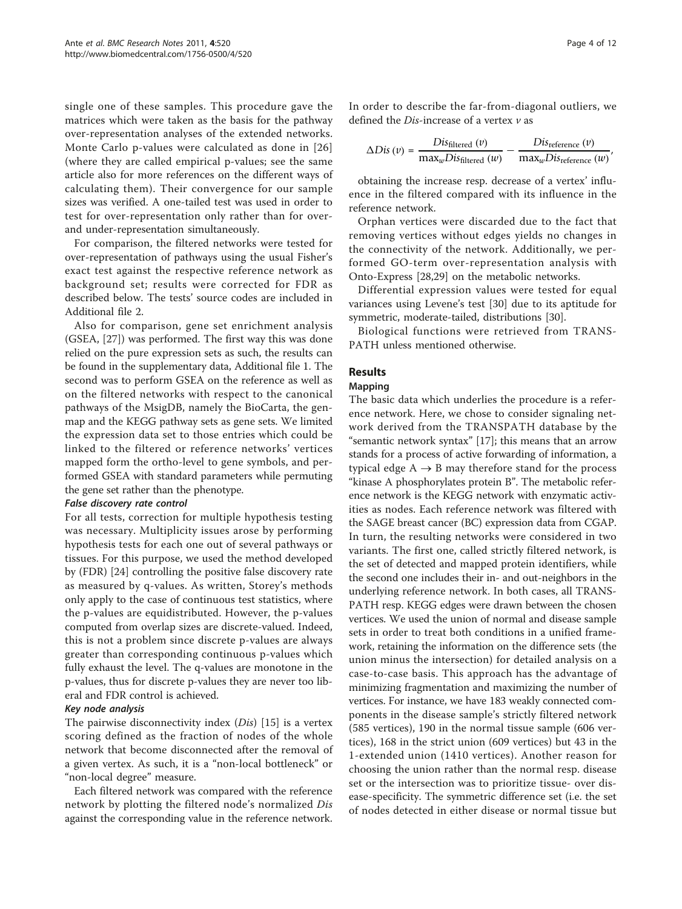single one of these samples. This procedure gave the matrices which were taken as the basis for the pathway over-representation analyses of the extended networks. Monte Carlo p-values were calculated as done in [[26](#page-11-0)] (where they are called empirical p-values; see the same article also for more references on the different ways of calculating them). Their convergence for our sample sizes was verified. A one-tailed test was used in order to test for over-representation only rather than for overand under-representation simultaneously.

For comparison, the filtered networks were tested for over-representation of pathways using the usual Fisher's exact test against the respective reference network as background set; results were corrected for FDR as described below. The tests' source codes are included in Additional file [2](#page-10-0).

Also for comparison, gene set enrichment analysis (GSEA, [[27\]](#page-11-0)) was performed. The first way this was done relied on the pure expression sets as such, the results can be found in the supplementary data, Additional file [1.](#page-10-0) The second was to perform GSEA on the reference as well as on the filtered networks with respect to the canonical pathways of the MsigDB, namely the BioCarta, the genmap and the KEGG pathway sets as gene sets. We limited the expression data set to those entries which could be linked to the filtered or reference networks' vertices mapped form the ortho-level to gene symbols, and performed GSEA with standard parameters while permuting the gene set rather than the phenotype.

#### False discovery rate control

For all tests, correction for multiple hypothesis testing was necessary. Multiplicity issues arose by performing hypothesis tests for each one out of several pathways or tissues. For this purpose, we used the method developed by (FDR) [[24\]](#page-10-0) controlling the positive false discovery rate as measured by q-values. As written, Storey's methods only apply to the case of continuous test statistics, where the p-values are equidistributed. However, the p-values computed from overlap sizes are discrete-valued. Indeed, this is not a problem since discrete p-values are always greater than corresponding continuous p-values which fully exhaust the level. The q-values are monotone in the p-values, thus for discrete p-values they are never too liberal and FDR control is achieved.

## Key node analysis

The pairwise disconnectivity index  $(Dis)$  [\[15](#page-10-0)] is a vertex scoring defined as the fraction of nodes of the whole network that become disconnected after the removal of a given vertex. As such, it is a "non-local bottleneck" or "non-local degree" measure.

Each filtered network was compared with the reference network by plotting the filtered node's normalized Dis against the corresponding value in the reference network. In order to describe the far-from-diagonal outliers, we defined the *Dis*-increase of a vertex  $\nu$  as

$$
\Delta Dis\left(v\right)=\frac{Dis_{\text{filtered}}\left(v\right)}{\max_{w}Dis_{\text{filtered}}\left(w\right)}-\frac{Dis_{\text{reference}}\left(v\right)}{\max_{w} Dis_{\text{reference}}\left(w\right)},
$$

obtaining the increase resp. decrease of a vertex' influence in the filtered compared with its influence in the reference network.

Orphan vertices were discarded due to the fact that removing vertices without edges yields no changes in the connectivity of the network. Additionally, we performed GO-term over-representation analysis with Onto-Express [[28,29\]](#page-11-0) on the metabolic networks.

Differential expression values were tested for equal variances using Levene's test [\[30](#page-11-0)] due to its aptitude for symmetric, moderate-tailed, distributions [[30](#page-11-0)].

Biological functions were retrieved from TRANS-PATH unless mentioned otherwise.

# Results

#### Mapping

The basic data which underlies the procedure is a reference network. Here, we chose to consider signaling network derived from the TRANSPATH database by the "semantic network syntax" [[17\]](#page-10-0); this means that an arrow stands for a process of active forwarding of information, a typical edge  $A \rightarrow B$  may therefore stand for the process "kinase A phosphorylates protein B". The metabolic reference network is the KEGG network with enzymatic activities as nodes. Each reference network was filtered with the SAGE breast cancer (BC) expression data from CGAP. In turn, the resulting networks were considered in two variants. The first one, called strictly filtered network, is the set of detected and mapped protein identifiers, while the second one includes their in- and out-neighbors in the underlying reference network. In both cases, all TRANS-PATH resp. KEGG edges were drawn between the chosen vertices. We used the union of normal and disease sample sets in order to treat both conditions in a unified framework, retaining the information on the difference sets (the union minus the intersection) for detailed analysis on a case-to-case basis. This approach has the advantage of minimizing fragmentation and maximizing the number of vertices. For instance, we have 183 weakly connected components in the disease sample's strictly filtered network (585 vertices), 190 in the normal tissue sample (606 vertices), 168 in the strict union (609 vertices) but 43 in the 1-extended union (1410 vertices). Another reason for choosing the union rather than the normal resp. disease set or the intersection was to prioritize tissue- over disease-specificity. The symmetric difference set (i.e. the set of nodes detected in either disease or normal tissue but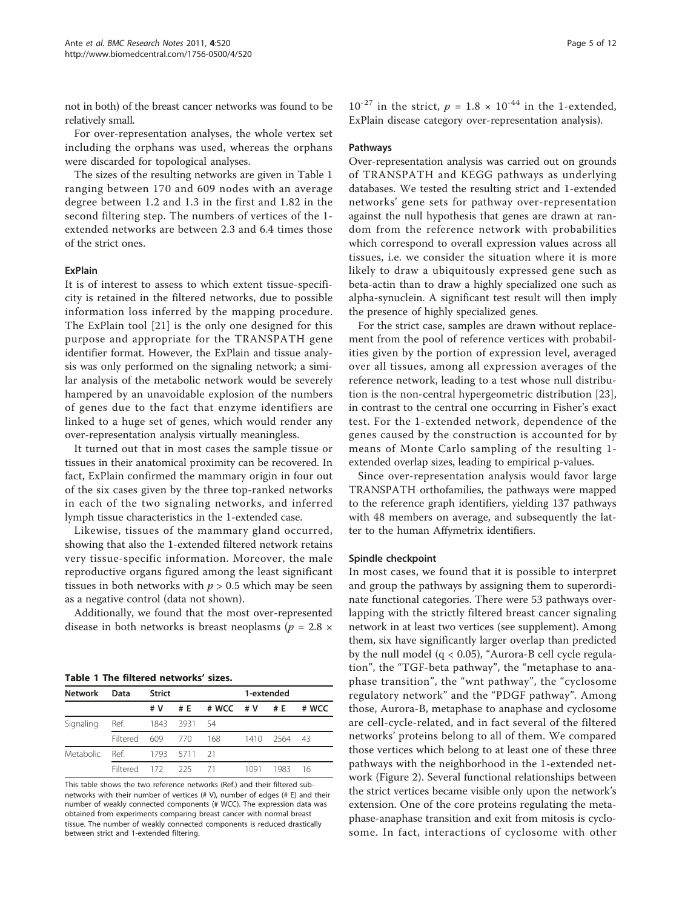not in both) of the breast cancer networks was found to be relatively small.

For over-representation analyses, the whole vertex set including the orphans was used, whereas the orphans were discarded for topological analyses.

The sizes of the resulting networks are given in Table 1 ranging between 170 and 609 nodes with an average degree between 1.2 and 1.3 in the first and 1.82 in the second filtering step. The numbers of vertices of the 1 extended networks are between 2.3 and 6.4 times those of the strict ones.

#### ExPlain

It is of interest to assess to which extent tissue-specificity is retained in the filtered networks, due to possible information loss inferred by the mapping procedure. The ExPlain tool [\[21](#page-10-0)] is the only one designed for this purpose and appropriate for the TRANSPATH gene identifier format. However, the ExPlain and tissue analysis was only performed on the signaling network; a similar analysis of the metabolic network would be severely hampered by an unavoidable explosion of the numbers of genes due to the fact that enzyme identifiers are linked to a huge set of genes, which would render any over-representation analysis virtually meaningless.

It turned out that in most cases the sample tissue or tissues in their anatomical proximity can be recovered. In fact, ExPlain confirmed the mammary origin in four out of the six cases given by the three top-ranked networks in each of the two signaling networks, and inferred lymph tissue characteristics in the 1-extended case.

Likewise, tissues of the mammary gland occurred, showing that also the 1-extended filtered network retains very tissue-specific information. Moreover, the male reproductive organs figured among the least significant tissues in both networks with  $p > 0.5$  which may be seen as a negative control (data not shown).

Additionally, we found that the most over-represented disease in both networks is breast neoplasms ( $p = 2.8 \times$ 

#### Table 1 The filtered networks' sizes.

| <b>Network</b> | Data                | <b>Strict</b> |  |                     | 1-extended |      |       |
|----------------|---------------------|---------------|--|---------------------|------------|------|-------|
|                |                     |               |  | $\#V$ #E #WCC #V #E |            |      | # WCC |
| Signaling      | Ref. 1843 3931 54   |               |  |                     |            |      |       |
|                | Filtered 609 770    |               |  | 168 1410 2564 43    |            |      |       |
| Metabolic      | Ref. 1793 5711 21   |               |  |                     |            |      |       |
|                | Filtered 172 225 71 |               |  |                     | 1091       | 1983 | 16    |

This table shows the two reference networks (Ref.) and their filtered subnetworks with their number of vertices (# V), number of edges (# E) and their number of weakly connected components (# WCC). The expression data was obtained from experiments comparing breast cancer with normal breast tissue. The number of weakly connected components is reduced drastically between strict and 1-extended filtering.

 $10^{-27}$  in the strict,  $p = 1.8 \times 10^{-44}$  in the 1-extended, ExPlain disease category over-representation analysis).

#### Pathways

Over-representation analysis was carried out on grounds of TRANSPATH and KEGG pathways as underlying databases. We tested the resulting strict and 1-extended networks' gene sets for pathway over-representation against the null hypothesis that genes are drawn at random from the reference network with probabilities which correspond to overall expression values across all tissues, i.e. we consider the situation where it is more likely to draw a ubiquitously expressed gene such as beta-actin than to draw a highly specialized one such as alpha-synuclein. A significant test result will then imply the presence of highly specialized genes.

For the strict case, samples are drawn without replacement from the pool of reference vertices with probabilities given by the portion of expression level, averaged over all tissues, among all expression averages of the reference network, leading to a test whose null distribution is the non-central hypergeometric distribution [\[23](#page-10-0)], in contrast to the central one occurring in Fisher's exact test. For the 1-extended network, dependence of the genes caused by the construction is accounted for by means of Monte Carlo sampling of the resulting 1 extended overlap sizes, leading to empirical p-values.

Since over-representation analysis would favor large TRANSPATH orthofamilies, the pathways were mapped to the reference graph identifiers, yielding 137 pathways with 48 members on average, and subsequently the latter to the human Affymetrix identifiers.

#### Spindle checkpoint

In most cases, we found that it is possible to interpret and group the pathways by assigning them to superordinate functional categories. There were 53 pathways overlapping with the strictly filtered breast cancer signaling network in at least two vertices (see supplement). Among them, six have significantly larger overlap than predicted by the null model (q < 0.05), "Aurora-B cell cycle regulation", the "TGF-beta pathway", the "metaphase to anaphase transition", the "wnt pathway", the "cyclosome regulatory network" and the "PDGF pathway". Among those, Aurora-B, metaphase to anaphase and cyclosome are cell-cycle-related, and in fact several of the filtered networks' proteins belong to all of them. We compared those vertices which belong to at least one of these three pathways with the neighborhood in the 1-extended network (Figure [2](#page-5-0)). Several functional relationships between the strict vertices became visible only upon the network's extension. One of the core proteins regulating the metaphase-anaphase transition and exit from mitosis is cyclosome. In fact, interactions of cyclosome with other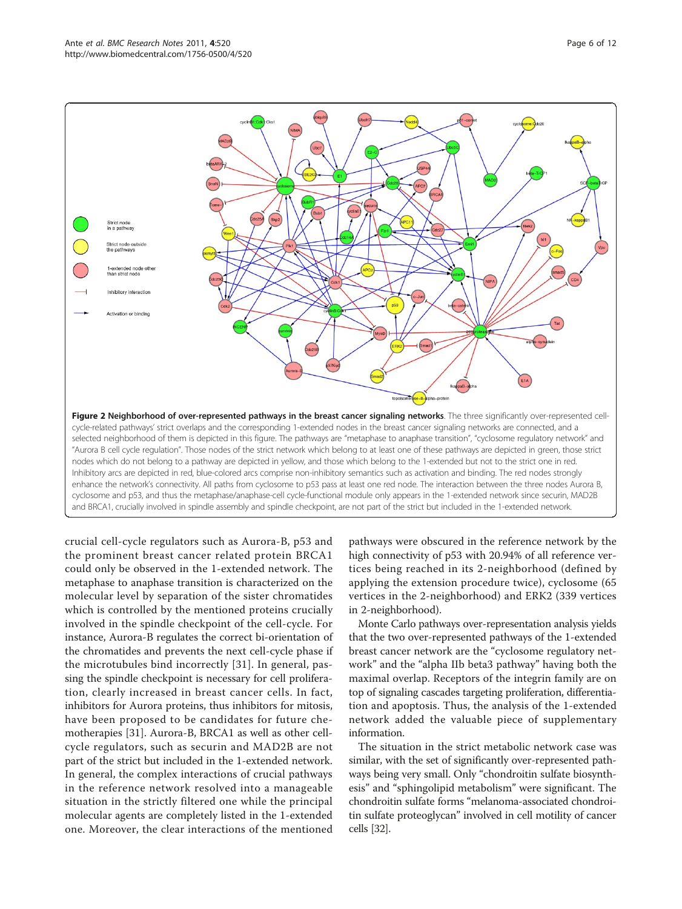<span id="page-5-0"></span>

crucial cell-cycle regulators such as Aurora-B, p53 and the prominent breast cancer related protein BRCA1 could only be observed in the 1-extended network. The metaphase to anaphase transition is characterized on the molecular level by separation of the sister chromatides which is controlled by the mentioned proteins crucially involved in the spindle checkpoint of the cell-cycle. For instance, Aurora-B regulates the correct bi-orientation of the chromatides and prevents the next cell-cycle phase if the microtubules bind incorrectly [[31](#page-11-0)]. In general, passing the spindle checkpoint is necessary for cell proliferation, clearly increased in breast cancer cells. In fact, inhibitors for Aurora proteins, thus inhibitors for mitosis, have been proposed to be candidates for future chemotherapies [[31\]](#page-11-0). Aurora-B, BRCA1 as well as other cellcycle regulators, such as securin and MAD2B are not part of the strict but included in the 1-extended network. In general, the complex interactions of crucial pathways in the reference network resolved into a manageable situation in the strictly filtered one while the principal molecular agents are completely listed in the 1-extended one. Moreover, the clear interactions of the mentioned

pathways were obscured in the reference network by the high connectivity of p53 with 20.94% of all reference vertices being reached in its 2-neighborhood (defined by applying the extension procedure twice), cyclosome (65 vertices in the 2-neighborhood) and ERK2 (339 vertices in 2-neighborhood).

Monte Carlo pathways over-representation analysis yields that the two over-represented pathways of the 1-extended breast cancer network are the "cyclosome regulatory network" and the "alpha IIb beta3 pathway" having both the maximal overlap. Receptors of the integrin family are on top of signaling cascades targeting proliferation, differentiation and apoptosis. Thus, the analysis of the 1-extended network added the valuable piece of supplementary information.

The situation in the strict metabolic network case was similar, with the set of significantly over-represented pathways being very small. Only "chondroitin sulfate biosynthesis" and "sphingolipid metabolism" were significant. The chondroitin sulfate forms "melanoma-associated chondroitin sulfate proteoglycan" involved in cell motility of cancer cells [\[32](#page-11-0)].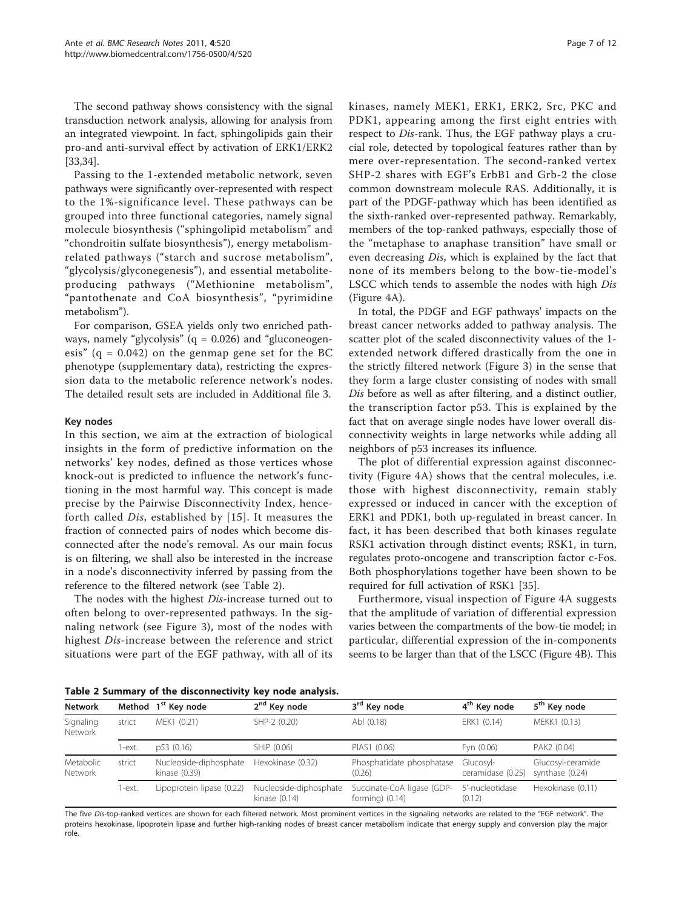The second pathway shows consistency with the signal transduction network analysis, allowing for analysis from an integrated viewpoint. In fact, sphingolipids gain their pro-and anti-survival effect by activation of ERK1/ERK2 [[33,34\]](#page-11-0).

Passing to the 1-extended metabolic network, seven pathways were significantly over-represented with respect to the 1%-significance level. These pathways can be grouped into three functional categories, namely signal molecule biosynthesis ("sphingolipid metabolism" and "chondroitin sulfate biosynthesis"), energy metabolismrelated pathways ("starch and sucrose metabolism", "glycolysis/glyconegenesis"), and essential metaboliteproducing pathways ("Methionine metabolism", "pantothenate and CoA biosynthesis", "pyrimidine metabolism").

For comparison, GSEA yields only two enriched pathways, namely "glycolysis"  $(q = 0.026)$  and "gluconeogenesis" ( $q = 0.042$ ) on the genmap gene set for the BC phenotype (supplementary data), restricting the expression data to the metabolic reference network's nodes. The detailed result sets are included in Additional file [3.](#page-10-0)

#### Key nodes

In this section, we aim at the extraction of biological insights in the form of predictive information on the networks' key nodes, defined as those vertices whose knock-out is predicted to influence the network's functioning in the most harmful way. This concept is made precise by the Pairwise Disconnectivity Index, henceforth called Dis, established by [[15](#page-10-0)]. It measures the fraction of connected pairs of nodes which become disconnected after the node's removal. As our main focus is on filtering, we shall also be interested in the increase in a node's disconnectivity inferred by passing from the reference to the filtered network (see Table 2).

The nodes with the highest Dis-increase turned out to often belong to over-represented pathways. In the signaling network (see Figure [3\)](#page-7-0), most of the nodes with highest Dis-increase between the reference and strict situations were part of the EGF pathway, with all of its kinases, namely MEK1, ERK1, ERK2, Src, PKC and PDK1, appearing among the first eight entries with respect to Dis-rank. Thus, the EGF pathway plays a crucial role, detected by topological features rather than by mere over-representation. The second-ranked vertex SHP-2 shares with EGF's ErbB1 and Grb-2 the close common downstream molecule RAS. Additionally, it is part of the PDGF-pathway which has been identified as the sixth-ranked over-represented pathway. Remarkably, members of the top-ranked pathways, especially those of the "metaphase to anaphase transition" have small or

even decreasing *Dis*, which is explained by the fact that none of its members belong to the bow-tie-model's LSCC which tends to assemble the nodes with high Dis (Figure [4A\)](#page-8-0).

In total, the PDGF and EGF pathways' impacts on the breast cancer networks added to pathway analysis. The scatter plot of the scaled disconnectivity values of the 1 extended network differed drastically from the one in the strictly filtered network (Figure [3\)](#page-7-0) in the sense that they form a large cluster consisting of nodes with small Dis before as well as after filtering, and a distinct outlier, the transcription factor p53. This is explained by the fact that on average single nodes have lower overall disconnectivity weights in large networks while adding all neighbors of p53 increases its influence.

The plot of differential expression against disconnectivity (Figure [4A\)](#page-8-0) shows that the central molecules, i.e. those with highest disconnectivity, remain stably expressed or induced in cancer with the exception of ERK1 and PDK1, both up-regulated in breast cancer. In fact, it has been described that both kinases regulate RSK1 activation through distinct events; RSK1, in turn, regulates proto-oncogene and transcription factor c-Fos. Both phosphorylations together have been shown to be required for full activation of RSK1 [\[35](#page-11-0)].

Furthermore, visual inspection of Figure [4A](#page-8-0) suggests that the amplitude of variation of differential expression varies between the compartments of the bow-tie model; in particular, differential expression of the in-components seems to be larger than that of the LSCC (Figure [4B\)](#page-8-0). This

Table 2 Summary of the disconnectivity key node analysis.

| <b>Network</b>       |        | Method 1 <sup>st</sup> Key node         | 2 <sup>nd</sup> Key node                  | 3 <sup>rd</sup> Key node                       | 4 <sup>th</sup> Key node       | 5 <sup>th</sup> Key node             |  |  |  |
|----------------------|--------|-----------------------------------------|-------------------------------------------|------------------------------------------------|--------------------------------|--------------------------------------|--|--|--|
| Signaling<br>Network | strict | MEK1 (0.21)                             | SHP-2 (0.20)                              | Abl (0.18)                                     | ERK1 (0.14)                    | MEKK1 (0.13)                         |  |  |  |
|                      | l-ext. | p53 (0.16)                              | SHIP (0.06)                               | PIAS1 (0.06)                                   | Fyn (0.06)                     | PAK2 (0.04)                          |  |  |  |
| Metabolic<br>Network | strict | Nucleoside-diphosphate<br>kinase (0.39) | Hexokinase (0.32)                         | Phosphatidate phosphatase<br>(0.26)            | Glucosyl-<br>ceramidase (0.25) | Glucosyl-ceramide<br>synthase (0.24) |  |  |  |
|                      | -ext.  | Lipoprotein lipase (0.22)               | Nucleoside-diphosphate<br>kinase $(0.14)$ | Succinate-CoA ligase (GDP-<br>forming $(0.14)$ | 5'-nucleotidase<br>(0.12)      | Hexokinase (0.11)                    |  |  |  |

The five Dis-top-ranked vertices are shown for each filtered network. Most prominent vertices in the signaling networks are related to the "EGF network". The proteins hexokinase, lipoprotein lipase and further high-ranking nodes of breast cancer metabolism indicate that energy supply and conversion play the major role.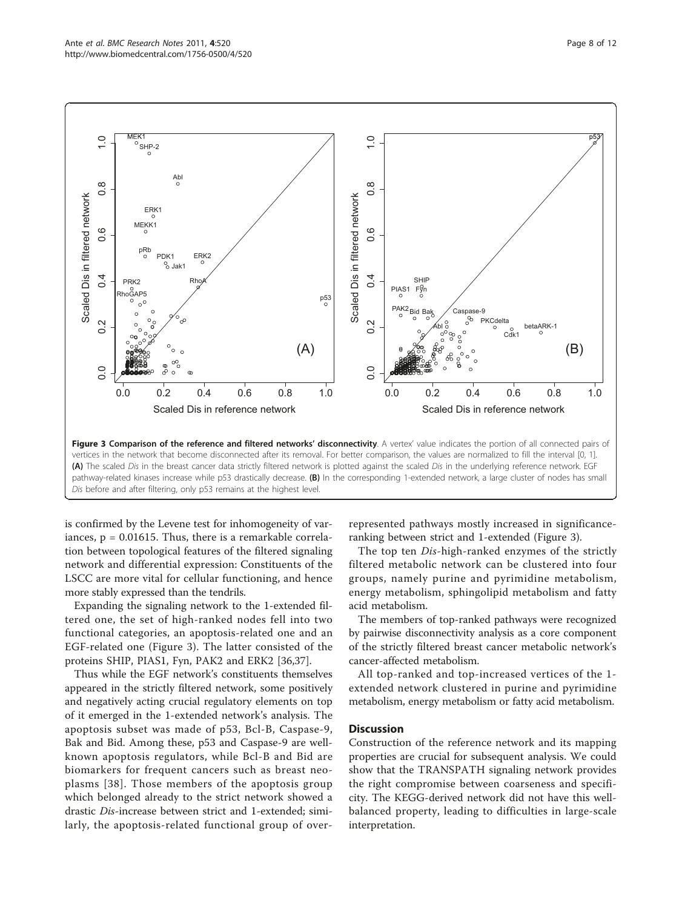<span id="page-7-0"></span>![](_page_7_Figure_2.jpeg)

is confirmed by the Levene test for inhomogeneity of variances,  $p = 0.01615$ . Thus, there is a remarkable correlation between topological features of the filtered signaling network and differential expression: Constituents of the LSCC are more vital for cellular functioning, and hence more stably expressed than the tendrils.

Expanding the signaling network to the 1-extended filtered one, the set of high-ranked nodes fell into two functional categories, an apoptosis-related one and an EGF-related one (Figure 3). The latter consisted of the proteins SHIP, PIAS1, Fyn, PAK2 and ERK2 [\[36,37](#page-11-0)].

Thus while the EGF network's constituents themselves appeared in the strictly filtered network, some positively and negatively acting crucial regulatory elements on top of it emerged in the 1-extended network's analysis. The apoptosis subset was made of p53, Bcl-B, Caspase-9, Bak and Bid. Among these, p53 and Caspase-9 are wellknown apoptosis regulators, while Bcl-B and Bid are biomarkers for frequent cancers such as breast neoplasms [[38\]](#page-11-0). Those members of the apoptosis group which belonged already to the strict network showed a drastic Dis-increase between strict and 1-extended; similarly, the apoptosis-related functional group of over-

represented pathways mostly increased in significanceranking between strict and 1-extended (Figure 3).

The top ten Dis-high-ranked enzymes of the strictly filtered metabolic network can be clustered into four groups, namely purine and pyrimidine metabolism, energy metabolism, sphingolipid metabolism and fatty acid metabolism.

The members of top-ranked pathways were recognized by pairwise disconnectivity analysis as a core component of the strictly filtered breast cancer metabolic network's cancer-affected metabolism.

All top-ranked and top-increased vertices of the 1 extended network clustered in purine and pyrimidine metabolism, energy metabolism or fatty acid metabolism.

#### **Discussion**

Construction of the reference network and its mapping properties are crucial for subsequent analysis. We could show that the TRANSPATH signaling network provides the right compromise between coarseness and specificity. The KEGG-derived network did not have this wellbalanced property, leading to difficulties in large-scale interpretation.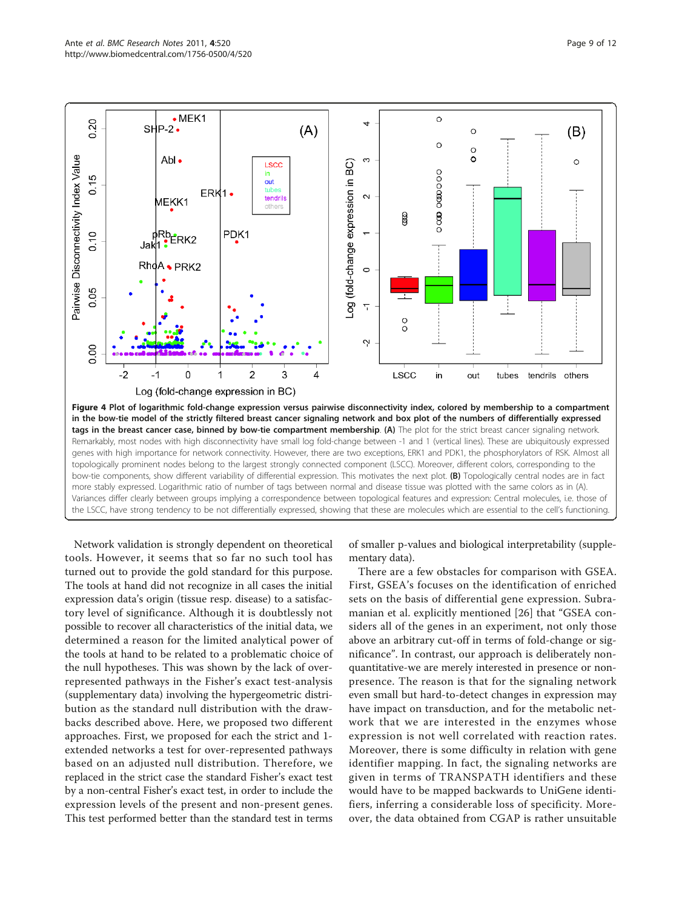<span id="page-8-0"></span>![](_page_8_Figure_1.jpeg)

Network validation is strongly dependent on theoretical tools. However, it seems that so far no such tool has turned out to provide the gold standard for this purpose. The tools at hand did not recognize in all cases the initial expression data's origin (tissue resp. disease) to a satisfactory level of significance. Although it is doubtlessly not possible to recover all characteristics of the initial data, we determined a reason for the limited analytical power of the tools at hand to be related to a problematic choice of the null hypotheses. This was shown by the lack of overrepresented pathways in the Fisher's exact test-analysis (supplementary data) involving the hypergeometric distribution as the standard null distribution with the drawbacks described above. Here, we proposed two different approaches. First, we proposed for each the strict and 1 extended networks a test for over-represented pathways based on an adjusted null distribution. Therefore, we replaced in the strict case the standard Fisher's exact test by a non-central Fisher's exact test, in order to include the expression levels of the present and non-present genes. This test performed better than the standard test in terms

of smaller p-values and biological interpretability (supplementary data).

There are a few obstacles for comparison with GSEA. First, GSEA's focuses on the identification of enriched sets on the basis of differential gene expression. Subramanian et al. explicitly mentioned [[26\]](#page-11-0) that "GSEA considers all of the genes in an experiment, not only those above an arbitrary cut-off in terms of fold-change or significance". In contrast, our approach is deliberately nonquantitative-we are merely interested in presence or nonpresence. The reason is that for the signaling network even small but hard-to-detect changes in expression may have impact on transduction, and for the metabolic network that we are interested in the enzymes whose expression is not well correlated with reaction rates. Moreover, there is some difficulty in relation with gene identifier mapping. In fact, the signaling networks are given in terms of TRANSPATH identifiers and these would have to be mapped backwards to UniGene identifiers, inferring a considerable loss of specificity. Moreover, the data obtained from CGAP is rather unsuitable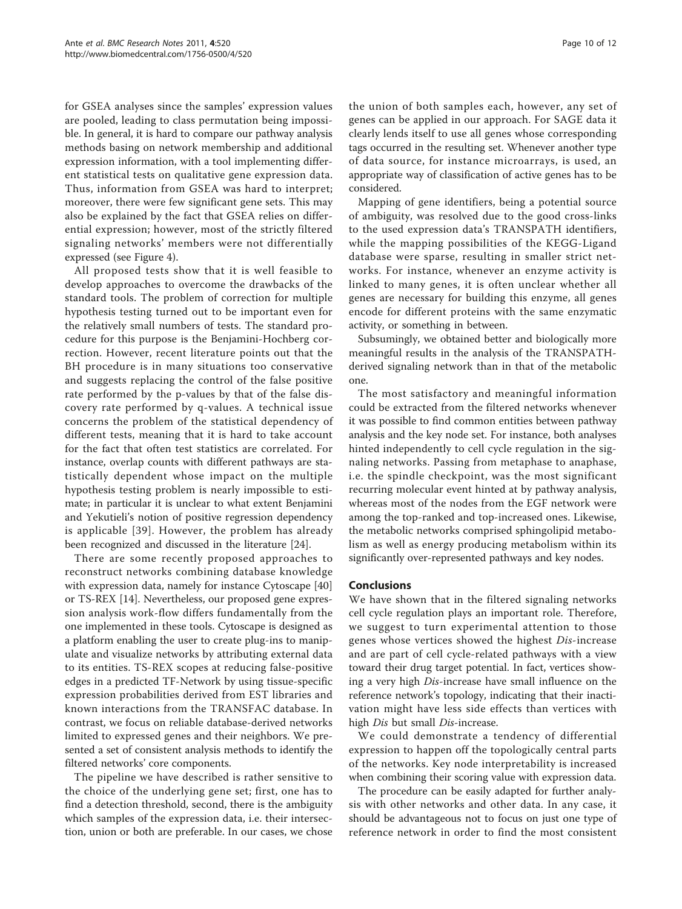for GSEA analyses since the samples' expression values are pooled, leading to class permutation being impossible. In general, it is hard to compare our pathway analysis methods basing on network membership and additional expression information, with a tool implementing different statistical tests on qualitative gene expression data. Thus, information from GSEA was hard to interpret; moreover, there were few significant gene sets. This may also be explained by the fact that GSEA relies on differential expression; however, most of the strictly filtered signaling networks' members were not differentially expressed (see Figure [4\)](#page-8-0).

All proposed tests show that it is well feasible to develop approaches to overcome the drawbacks of the standard tools. The problem of correction for multiple hypothesis testing turned out to be important even for the relatively small numbers of tests. The standard procedure for this purpose is the Benjamini-Hochberg correction. However, recent literature points out that the BH procedure is in many situations too conservative and suggests replacing the control of the false positive rate performed by the p-values by that of the false discovery rate performed by q-values. A technical issue concerns the problem of the statistical dependency of different tests, meaning that it is hard to take account for the fact that often test statistics are correlated. For instance, overlap counts with different pathways are statistically dependent whose impact on the multiple hypothesis testing problem is nearly impossible to estimate; in particular it is unclear to what extent Benjamini and Yekutieli's notion of positive regression dependency is applicable [[39](#page-11-0)]. However, the problem has already been recognized and discussed in the literature [[24\]](#page-10-0).

There are some recently proposed approaches to reconstruct networks combining database knowledge with expression data, namely for instance Cytoscape [[40](#page-11-0)] or TS-REX [\[14](#page-10-0)]. Nevertheless, our proposed gene expression analysis work-flow differs fundamentally from the one implemented in these tools. Cytoscape is designed as a platform enabling the user to create plug-ins to manipulate and visualize networks by attributing external data to its entities. TS-REX scopes at reducing false-positive edges in a predicted TF-Network by using tissue-specific expression probabilities derived from EST libraries and known interactions from the TRANSFAC database. In contrast, we focus on reliable database-derived networks limited to expressed genes and their neighbors. We presented a set of consistent analysis methods to identify the filtered networks' core components.

The pipeline we have described is rather sensitive to the choice of the underlying gene set; first, one has to find a detection threshold, second, there is the ambiguity which samples of the expression data, i.e. their intersection, union or both are preferable. In our cases, we chose

the union of both samples each, however, any set of genes can be applied in our approach. For SAGE data it clearly lends itself to use all genes whose corresponding tags occurred in the resulting set. Whenever another type of data source, for instance microarrays, is used, an appropriate way of classification of active genes has to be considered.

Mapping of gene identifiers, being a potential source of ambiguity, was resolved due to the good cross-links to the used expression data's TRANSPATH identifiers, while the mapping possibilities of the KEGG-Ligand database were sparse, resulting in smaller strict networks. For instance, whenever an enzyme activity is linked to many genes, it is often unclear whether all genes are necessary for building this enzyme, all genes encode for different proteins with the same enzymatic activity, or something in between.

Subsumingly, we obtained better and biologically more meaningful results in the analysis of the TRANSPATHderived signaling network than in that of the metabolic one.

The most satisfactory and meaningful information could be extracted from the filtered networks whenever it was possible to find common entities between pathway analysis and the key node set. For instance, both analyses hinted independently to cell cycle regulation in the signaling networks. Passing from metaphase to anaphase, i.e. the spindle checkpoint, was the most significant recurring molecular event hinted at by pathway analysis, whereas most of the nodes from the EGF network were among the top-ranked and top-increased ones. Likewise, the metabolic networks comprised sphingolipid metabolism as well as energy producing metabolism within its significantly over-represented pathways and key nodes.

#### Conclusions

We have shown that in the filtered signaling networks cell cycle regulation plays an important role. Therefore, we suggest to turn experimental attention to those genes whose vertices showed the highest Dis-increase and are part of cell cycle-related pathways with a view toward their drug target potential. In fact, vertices showing a very high Dis-increase have small influence on the reference network's topology, indicating that their inactivation might have less side effects than vertices with high *Dis* but small *Dis-increase*.

We could demonstrate a tendency of differential expression to happen off the topologically central parts of the networks. Key node interpretability is increased when combining their scoring value with expression data.

The procedure can be easily adapted for further analysis with other networks and other data. In any case, it should be advantageous not to focus on just one type of reference network in order to find the most consistent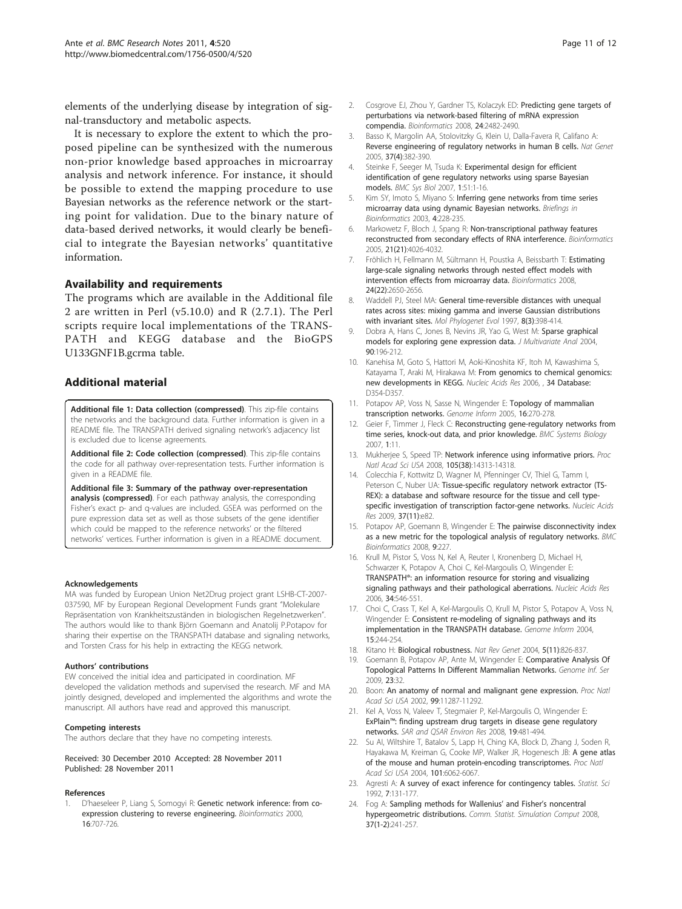<span id="page-10-0"></span>elements of the underlying disease by integration of signal-transductory and metabolic aspects.

It is necessary to explore the extent to which the proposed pipeline can be synthesized with the numerous non-prior knowledge based approaches in microarray analysis and network inference. For instance, it should be possible to extend the mapping procedure to use Bayesian networks as the reference network or the starting point for validation. Due to the binary nature of data-based derived networks, it would clearly be beneficial to integrate the Bayesian networks' quantitative information.

#### Availability and requirements

The programs which are available in the Additional file 2 are written in Perl (v5.10.0) and R (2.7.1). The Perl scripts require local implementations of the TRANS-PATH and KEGG database and the BioGPS U133GNF1B.gcrma table.

## Additional material

[Additional file 1: D](http://www.biomedcentral.com/content/supplementary/1756-0500-4-520-S1.ZIP)ata collection (compressed). This zip-file contains the networks and the background data. Further information is given in a README file. The TRANSPATH derived signaling network's adjacency list is excluded due to license agreements.

[Additional file 2: C](http://www.biomedcentral.com/content/supplementary/1756-0500-4-520-S2.ZIP)ode collection (compressed). This zip-file contains the code for all pathway over-representation tests. Further information is given in a README file.

[Additional file 3: S](http://www.biomedcentral.com/content/supplementary/1756-0500-4-520-S3.ZIP)ummary of the pathway over-representation analysis (compressed). For each pathway analysis, the corresponding Fisher's exact p- and q-values are included. GSEA was performed on the pure expression data set as well as those subsets of the gene identifier which could be mapped to the reference networks' or the filtered networks' vertices. Further information is given in a README document.

#### Acknowledgements

MA was funded by European Union Net2Drug project grant LSHB-CT-2007- 037590, MF by European Regional Development Funds grant "Molekulare Repräsentation von Krankheitszuständen in biologischen Regelnetzwerken". The authors would like to thank Björn Goemann and Anatolij P.Potapov for sharing their expertise on the TRANSPATH database and signaling networks, and Torsten Crass for his help in extracting the KEGG network.

#### Authors' contributions

EW conceived the initial idea and participated in coordination. MF developed the validation methods and supervised the research. MF and MA jointly designed, developed and implemented the algorithms and wrote the manuscript. All authors have read and approved this manuscript.

#### Competing interests

The authors declare that they have no competing interests.

#### Received: 30 December 2010 Accepted: 28 November 2011 Published: 28 November 2011

#### References

1. D'haeseleer P, Liang S, Somogyi R: [Genetic network inference: from co](http://www.ncbi.nlm.nih.gov/pubmed/11099257?dopt=Abstract)[expression clustering to reverse engineering.](http://www.ncbi.nlm.nih.gov/pubmed/11099257?dopt=Abstract) Bioinformatics 2000, 16:707-726.

- 2. Cosgrove EJ, Zhou Y, Gardner TS, Kolaczyk ED: [Predicting gene targets of](http://www.ncbi.nlm.nih.gov/pubmed/18779235?dopt=Abstract) [perturbations via network-based filtering of mRNA expression](http://www.ncbi.nlm.nih.gov/pubmed/18779235?dopt=Abstract) [compendia.](http://www.ncbi.nlm.nih.gov/pubmed/18779235?dopt=Abstract) Bioinformatics 2008, 24:2482-2490.
- 3. Basso K, Margolin AA, Stolovitzky G, Klein U, Dalla-Favera R, Califano A: [Reverse engineering of regulatory networks in human B cells.](http://www.ncbi.nlm.nih.gov/pubmed/15778709?dopt=Abstract) Nat Genet 2005, 37(4):382-390.
- 4. Steinke F, Seeger M, Tsuda K: Experimental design for efficient identification of gene regulatory networks using sparse Bayesian models. BMC Sys Biol 2007, 1:51:1-16.
- 5. Kim SY, Imoto S, Miyano S: [Inferring gene networks from time series](http://www.ncbi.nlm.nih.gov/pubmed/14582517?dopt=Abstract) [microarray data using dynamic Bayesian networks.](http://www.ncbi.nlm.nih.gov/pubmed/14582517?dopt=Abstract) Briefings in Bioinformatics 2003, 4:228-235.
- 6. Markowetz F, Bloch J, Spang R: [Non-transcriptional pathway features](http://www.ncbi.nlm.nih.gov/pubmed/16159925?dopt=Abstract) [reconstructed from secondary effects of RNA interference.](http://www.ncbi.nlm.nih.gov/pubmed/16159925?dopt=Abstract) Bioinformatics 2005, 21(21):4026-4032.
- 7. Fröhlich H, Fellmann M, Sültmann H, Poustka A, Beissbarth T: [Estimating](http://www.ncbi.nlm.nih.gov/pubmed/18227117?dopt=Abstract) [large-scale signaling networks through nested effect models with](http://www.ncbi.nlm.nih.gov/pubmed/18227117?dopt=Abstract) [intervention effects from microarray data.](http://www.ncbi.nlm.nih.gov/pubmed/18227117?dopt=Abstract) Bioinformatics 2008, 24(22):2650-2656.
- 8. Waddell PJ, Steel MA: [General time-reversible distances with unequal](http://www.ncbi.nlm.nih.gov/pubmed/9417897?dopt=Abstract) [rates across sites: mixing gamma and inverse Gaussian distributions](http://www.ncbi.nlm.nih.gov/pubmed/9417897?dopt=Abstract) [with invariant sites.](http://www.ncbi.nlm.nih.gov/pubmed/9417897?dopt=Abstract) Mol Phylogenet Evol 1997, 8(3):398-414.
- 9. Dobra A, Hans C, Jones B, Nevins JR, Yao G, West M: Sparse graphical models for exploring gene expression data. J Multivariate Anal 2004, 90:196-212.
- 10. Kanehisa M, Goto S, Hattori M, Aoki-Kinoshita KF, Itoh M, Kawashima S, Katayama T, Araki M, Hirakawa M: From genomics to chemical genomics: new developments in KEGG. Nucleic Acids Res 2006, , 34 Database: D354-D357.
- 11. Potapov AP, Voss N, Sasse N, Wingender E: [Topology of mammalian](http://www.ncbi.nlm.nih.gov/pubmed/16901109?dopt=Abstract) [transcription networks.](http://www.ncbi.nlm.nih.gov/pubmed/16901109?dopt=Abstract) Genome Inform 2005, 16:270-278.
- 12. Geier F, Timmer J, Fleck C: [Reconstructing gene-regulatory networks from](http://www.ncbi.nlm.nih.gov/pubmed/17408501?dopt=Abstract) [time series, knock-out data, and prior knowledge.](http://www.ncbi.nlm.nih.gov/pubmed/17408501?dopt=Abstract) BMC Systems Biology 2007, 1:11.
- 13. Mukherjee S, Speed TP: [Network inference using informative priors.](http://www.ncbi.nlm.nih.gov/pubmed/18799736?dopt=Abstract) Proc Natl Acad Sci USA 2008, 105(38):14313-14318.
- 14. Colecchia F, Kottwitz D, Wagner M, Pfenninger CV, Thiel G, Tamm I, Peterson C, Nuber UA: [Tissue-specific regulatory network extractor \(TS-](http://www.ncbi.nlm.nih.gov/pubmed/19443447?dopt=Abstract)[REX\): a database and software resource for the tissue and cell type](http://www.ncbi.nlm.nih.gov/pubmed/19443447?dopt=Abstract)[specific investigation of transcription factor-gene networks.](http://www.ncbi.nlm.nih.gov/pubmed/19443447?dopt=Abstract) Nucleic Acids Res 2009, 37(11):e82.
- 15. Potapov AP, Goemann B, Wingender E: [The pairwise disconnectivity index](http://www.ncbi.nlm.nih.gov/pubmed/18454847?dopt=Abstract) [as a new metric for the topological analysis of regulatory networks.](http://www.ncbi.nlm.nih.gov/pubmed/18454847?dopt=Abstract) BMC Bioinformatics 2008, 9:227.
- 16. Krull M, Pistor S, Voss N, Kel A, Reuter I, Kronenberg D, Michael H, Schwarzer K, Potapov A, Choi C, Kel-Margoulis O, Wingender E: TRANSPATH®: an information resource for storing and visualizing signaling pathways and their pathological aberrations. Nucleic Acids Res 2006, 34:546-551.
- 17. Choi C, Crass T, Kel A, Kel-Margoulis O, Krull M, Pistor S, Potapov A, Voss N, Wingender E: [Consistent re-modeling of signaling pathways and its](http://www.ncbi.nlm.nih.gov/pubmed/15706510?dopt=Abstract) [implementation in the TRANSPATH database.](http://www.ncbi.nlm.nih.gov/pubmed/15706510?dopt=Abstract) Genome Inform 2004, 15:244-254.
- 18. Kitano H: [Biological robustness.](http://www.ncbi.nlm.nih.gov/pubmed/15520792?dopt=Abstract) Nat Rev Genet 2004, 5(11):826-837.
- 19. Goemann B, Potapov AP, Ante M, Wingender E: Comparative Analysis Of Topological Patterns In Different Mammalian Networks. Genome Inf. Ser 2009, 23:32.
- 20. Boon: [An anatomy of normal and malignant gene expression.](http://www.ncbi.nlm.nih.gov/pubmed/12119410?dopt=Abstract) Proc Natl Acad Sci USA 2002, 99:11287-11292.
- 21. Kel A, Voss N, Valeev T, Stegmaier P, Kel-Margoulis O, Wingender E: ExPlain™: finding upstream drug targets in disease gene regulatory networks. SAR and QSAR Environ Res 2008, 19:481-494.
- 22. Su AI, Wiltshire T, Batalov S, Lapp H, Ching KA, Block D, Zhang J, Soden R, Hayakawa M, Kreiman G, Cooke MP, Walker JR, Hogenesch JB: [A gene atlas](http://www.ncbi.nlm.nih.gov/pubmed/15075390?dopt=Abstract) [of the mouse and human protein-encoding transcriptomes.](http://www.ncbi.nlm.nih.gov/pubmed/15075390?dopt=Abstract) Proc Natl Acad Sci USA 2004, 101:6062-6067.
- 23. Agresti A: A survey of exact inference for contingency tables. Statist. Sci 1992, 7:131-177.
- 24. Fog A: Sampling methods for Wallenius' and Fisher's noncentral hypergeometric distributions. Comm. Statist. Simulation Comput 2008, 37(1-2):241-257.